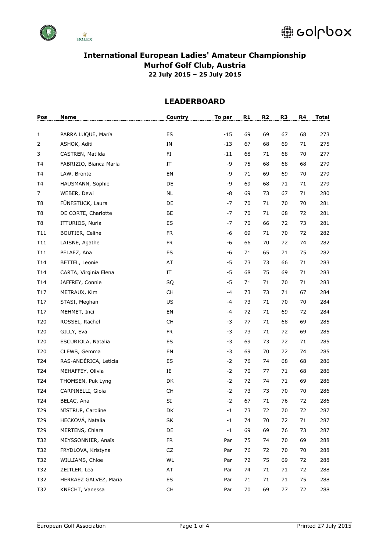



| Pos             | <b>Name</b>            | Country         | To par      | R1 | R <sub>2</sub> | R <sub>3</sub> | R4     | Total |
|-----------------|------------------------|-----------------|-------------|----|----------------|----------------|--------|-------|
|                 |                        |                 |             |    |                |                |        |       |
| 1               | PARRA LUQUE, María     | ES              | $-15$       | 69 | 69             | 67             | 68     | 273   |
| $\overline{2}$  | ASHOK, Aditi           | IN              | $-13$       | 67 | 68             | 69             | 71     | 275   |
| 3               | CASTREN, Matilda       | FI.             | $-11$       | 68 | 71             | 68             | 70     | 277   |
| T4              | FABRIZIO, Bianca Maria | ΙT              | -9          | 75 | 68             | 68             | 68     | 279   |
| T4              | LAW, Bronte            | EN              | -9          | 71 | 69             | 69             | 70     | 279   |
| T4              | HAUSMANN, Sophie       | DE              | -9          | 69 | 68             | 71             | 71     | 279   |
| $\overline{7}$  | WEBER, Dewi            | <b>NL</b>       | -8          | 69 | 73             | 67             | 71     | 280   |
| T8              | FÜNFSTÜCK, Laura       | DE              | $-7$        | 70 | 71             | 70             | 70     | 281   |
| T <sub>8</sub>  | DE CORTE, Charlotte    | BE              | -7          | 70 | 71             | 68             | 72     | 281   |
| T <sub>8</sub>  | ITTURIOS, Nuria        | ES              | $-7$        | 70 | 66             | 72             | 73     | 281   |
| T11             | BOUTIER, Celine        | <b>FR</b>       | $-6$        | 69 | 71             | 70             | 72     | 282   |
| T11             | LAISNE, Agathe         | <b>FR</b>       | $-6$        | 66 | 70             | 72             | 74     | 282   |
| T11             | PELAEZ, Ana            | ES              | -6          | 71 | 65             | 71             | 75     | 282   |
| T <sub>14</sub> | BETTEL, Leonie         | AT              | $-5$        | 73 | 73             | 66             | 71     | 283   |
| T <sub>14</sub> | CARTA, Virginia Elena  | IT              | $-5$        | 68 | 75             | 69             | 71     | 283   |
| T <sub>14</sub> | JAFFREY, Connie        | SQ              | $-5$        | 71 | 71             | 70             | 71     | 283   |
| T <sub>17</sub> | METRAUX, Kim           | CH              | -4          | 73 | 73             | 71             | 67     | 284   |
| T <sub>17</sub> | STASI, Meghan          | US              | $-4$        | 73 | 71             | 70             | 70     | 284   |
| T17             | MEHMET, Inci           | EN              | $-4$        | 72 | 71             | 69             | 72     | 284   |
| T20             | ROSSEL, Rachel         | <b>CH</b>       | $-3$        | 77 | 71             | 68             | 69     | 285   |
| T20             | GILLY, Eva             | <b>FR</b>       | $-3$        | 73 | 71             | 72             | 69     | 285   |
| T20             | ESCURIOLA, Natalia     | ES              | $-3$        | 69 | 73             | 72             | 71     | 285   |
| T20             | CLEWS, Gemma           | EN              | $-3$        | 69 | 70             | 72             | 74     | 285   |
| T24             | RAS-ANDÉRICA, Leticia  | ES              | $-2$        | 76 | 74             | 68             | 68     | 286   |
| T24             | MEHAFFEY, Olivia       | IE              | $-2$        | 70 | 77             | 71             | 68     | 286   |
| T24             | THOMSEN, Puk Lyng      | DK              | $-2$        | 72 | 74             | 71             | 69     | 286   |
| T24             | CARPINELLI, Gioia      | <b>CH</b>       | $-2$        | 73 | 73             | 70             | 70     | 286   |
| T24             | BELAC, Ana             | $\mathsf{SI}\,$ | $-2$        | 67 | 71             | 76             | 72     | 286   |
| T29             | NISTRUP, Caroline      | DK              | $^{\rm -1}$ | 73 | 72             | $70\,$         | 72     | 287   |
| T29             | HECKOVÁ, Natalia       | SK              | $-1$        | 74 | 70             | 72             | $71\,$ | 287   |
| T29             | MERTENS, Chiara        | DE              | $-1$        | 69 | 69             | 76             | 73     | 287   |
| T32             | MEYSSONNIER, Anaïs     | <b>FR</b>       | Par         | 75 | 74             | 70             | 69     | 288   |
| T32             | FRYDLOVA, Kristyna     | CZ              | Par         | 76 | 72             | 70             | 70     | 288   |
| T32             | WILLIAMS, Chloe        | WL              | Par         | 72 | 75             | 69             | 72     | 288   |
| T32             | ZEITLER, Lea           | AT              | Par         | 74 | 71             | 71             | 72     | 288   |
| T32             | HERRAEZ GALVEZ, Maria  | ES              | Par         | 71 | 71             | 71             | 75     | 288   |
| T32             | KNECHT, Vanessa        | CH              | Par         | 70 | 69             | 77             | 72     | 288   |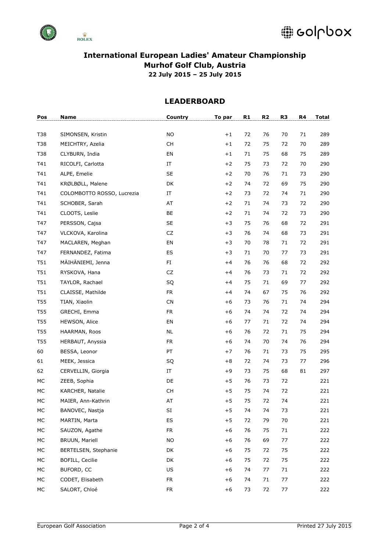



| Pos        | <b>Name</b>                | Country   | To par | R1 | R <sub>2</sub> | R <sub>3</sub> | R4 | Total |
|------------|----------------------------|-----------|--------|----|----------------|----------------|----|-------|
|            |                            |           |        |    |                |                |    |       |
| T38        | SIMONSEN, Kristin          | <b>NO</b> | $+1$   | 72 | 76             | 70             | 71 | 289   |
| T38        | MEICHTRY, Azelia           | CH        | $+1$   | 72 | 75             | 72             | 70 | 289   |
| T38        | CLYBURN, India             | EN        | $+1$   | 71 | 75             | 68             | 75 | 289   |
| T41        | RICOLFI, Carlotta          | IT        | $+2$   | 75 | 73             | 72             | 70 | 290   |
| T41        | ALPE, Emelie               | <b>SE</b> | $+2$   | 70 | 76             | 71             | 73 | 290   |
| T41        | KRØLBØLL, Malene           | DK        | $+2$   | 74 | 72             | 69             | 75 | 290   |
| T41        | COLOMBOTTO ROSSO, Lucrezia | ΙT        | $+2$   | 73 | 72             | 74             | 71 | 290   |
| T41        | SCHOBER, Sarah             | AT        | $+2$   | 71 | 74             | 73             | 72 | 290   |
| T41        | CLOOTS, Leslie             | BE        | $+2$   | 71 | 74             | 72             | 73 | 290   |
| T47        | PERSSON, Cajsa             | <b>SE</b> | $+3$   | 75 | 76             | 68             | 72 | 291   |
| T47        | VLCKOVA, Karolina          | CZ        | $+3$   | 76 | 74             | 68             | 73 | 291   |
| T47        | MACLAREN, Meghan           | EN        | $+3$   | 70 | 78             | 71             | 72 | 291   |
| T47        | FERNANDEZ, Fatima          | ES        | $+3$   | 71 | 70             | 77             | 73 | 291   |
| T51        | MÄIHÄNIEMI, Jenna          | FI.       | $+4$   | 76 | 76             | 68             | 72 | 292   |
| T51        | RYSKOVA, Hana              | CZ        | $+4$   | 76 | 73             | 71             | 72 | 292   |
| T51        | TAYLOR, Rachael            | SQ        | $+4$   | 75 | 71             | 69             | 77 | 292   |
| T51        | CLAISSE, Mathilde          | <b>FR</b> | $+4$   | 74 | 67             | 75             | 76 | 292   |
| <b>T55</b> | TIAN, Xiaolin              | CN        | $+6$   | 73 | 76             | 71             | 74 | 294   |
| <b>T55</b> | GRECHI, Emma               | <b>FR</b> | $+6$   | 74 | 74             | 72             | 74 | 294   |
| T55        | HEWSON, Alice              | EN        | $+6$   | 77 | 71             | 72             | 74 | 294   |
| <b>T55</b> | HAARMAN, Roos              | <b>NL</b> | $+6$   | 76 | 72             | 71             | 75 | 294   |
| T55        | HERBAUT, Anyssia           | <b>FR</b> | $+6$   | 74 | 70             | 74             | 76 | 294   |
| 60         | BESSA, Leonor              | PT        | $+7$   | 76 | 71             | 73             | 75 | 295   |
| 61         | MEEK, Jessica              | SQ        | $+8$   | 72 | 74             | 73             | 77 | 296   |
| 62         | CERVELLIN, Giorgia         | IT        | $+9$   | 73 | 75             | 68             | 81 | 297   |
| MC         | ZEEB, Sophia               | DE        | $+5$   | 76 | 73             | 72             |    | 221   |
| МC         | KARCHER, Natalie           | <b>CH</b> | $+5$   | 75 | 74             | 72             |    | 221   |
| МC         | MAIER, Ann-Kathrin         | AT        | $+5$   | 75 | 72             | 74             |    | 221   |
| MC         | BANOVEC, Nastja            | SI        | $+5$   | 74 | 74             | 73             |    | 221   |
| МC         | MARTIN, Marta              | ES        | $+5$   | 72 | 79             | 70             |    | 221   |
| МC         | SAUZON, Agathe             | <b>FR</b> | $+6$   | 76 | 75             | 71             |    | 222   |
| МC         | <b>BRUUN, Mariell</b>      | <b>NO</b> | $+6$   | 76 | 69             | 77             |    | 222   |
| МC         | BERTELSEN, Stephanie       | DK        | $+6$   | 75 | 72             | 75             |    | 222   |
| МC         | BOFILL, Cecilie            | DK        | $+6$   | 75 | 72             | 75             |    | 222   |
| МC         | BUFORD, CC                 | US        | $+6$   | 74 | 77             | 71             |    | 222   |
| МC         | CODET, Elisabeth           | <b>FR</b> | $+6$   | 74 | 71             | 77             |    | 222   |
| МC         | SALORT, Chloé              | <b>FR</b> | $+6$   | 73 | 72             | 77             |    | 222   |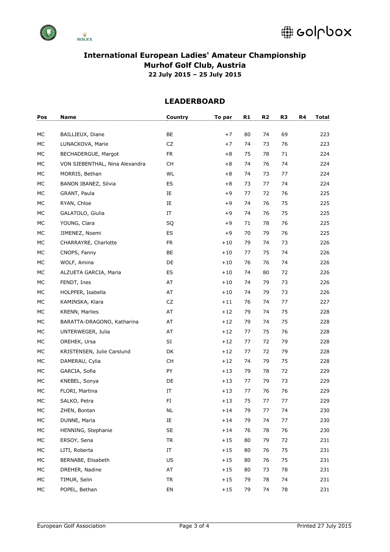

| Pos       | <b>Name</b>                    | Country    | To par | R1 | R <sub>2</sub> | R3 | R4 | Total |
|-----------|--------------------------------|------------|--------|----|----------------|----|----|-------|
| МC        | BAILLIEUX, Diane               | BE         | $+7$   | 80 | 74             | 69 |    | 223   |
| МC        | LUNACKOVA, Marie               | CZ         | $+7$   | 74 | 73             | 76 |    | 223   |
| <b>MC</b> | BECHADERGUE, Margot            | <b>FR</b>  | $+8$   | 75 | 78             | 71 |    | 224   |
| МC        | VON SIEBENTHAL, Nina Alexandra | <b>CH</b>  | $+8$   | 74 | 76             | 74 |    | 224   |
| МC        | MORRIS, Bethan                 | <b>WL</b>  | $+8$   | 74 | 73             | 77 |    | 224   |
| МC        | BANON IBANEZ, Silvia           | ES         | $+8$   | 73 | 77             | 74 |    | 224   |
| MC        | GRANT, Paula                   | IE         | $+9$   | 77 | 72             | 76 |    | 225   |
| МC        | RYAN, Chloe                    | IE         | $+9$   | 74 | 76             | 75 |    | 225   |
| МC        | GALATOLO, Giulia               | IT         | $+9$   | 74 | 76             | 75 |    | 225   |
| МC        | YOUNG, Clara                   | SQ         | $+9$   | 71 | 78             | 76 |    | 225   |
| МC        | JIMENEZ, Noemi                 | ES         | $+9$   | 70 | 79             | 76 |    | 225   |
| МC        | CHARRAYRE, Charlotte           | <b>FR</b>  | $+10$  | 79 | 74             | 73 |    | 226   |
| МC        | CNOPS, Fanny                   | BE         | $+10$  | 77 | 75             | 74 |    | 226   |
| МC        | WOLF, Amina                    | DE         | $+10$  | 76 | 76             | 74 |    | 226   |
| МC        | ALZUETA GARCIA, Maria          | ES         | $+10$  | 74 | 80             | 72 |    | 226   |
| МC        | FENDT, Ines                    | AT         | $+10$  | 74 | 79             | 73 |    | 226   |
| МC        | HOLPFER, Isabella              | AT         | $+10$  | 74 | 79             | 73 |    | 226   |
| МC        | KAMINSKA, Klara                | CZ         | $+11$  | 76 | 74             | 77 |    | 227   |
| MC        | <b>KRENN, Marlies</b>          | AT         | $+12$  | 79 | 74             | 75 |    | 228   |
| МC        | BARATTA-DRAGONO, Katharina     | AT         | $+12$  | 79 | 74             | 75 |    | 228   |
| МC        | UNTERWEGER, Julia              | AT         | $+12$  | 77 | 75             | 76 |    | 228   |
| МC        | OREHEK, Ursa                   | SI         | $+12$  | 77 | 72             | 79 |    | 228   |
| МC        | KRISTENSEN, Julie Carslund     | DK         | $+12$  | 77 | 72             | 79 |    | 228   |
| МC        | DAMERAU, Cylia                 | CH         | $+12$  | 74 | 79             | 75 |    | 228   |
| МC        | GARCIA, Sofia                  | PY         | $+13$  | 79 | 78             | 72 |    | 229   |
| МC        | KNEBEL, Sonya                  | DE         | $+13$  | 77 | 79             | 73 |    | 229   |
| МC        | FLORI, Martina                 | IT         | $+13$  | 77 | 76             | 76 |    | 229   |
| МC        | SALKO, Petra                   | FI         | $+13$  | 75 | 77             | 77 |    | 229   |
| МC        | ZHEN, Bontan                   | $\sf NL$   | $+14$  | 79 | 77             | 74 |    | 230   |
| МC        | DUNNE, Maria                   | IE         | $+14$  | 79 | 74             | 77 |    | 230   |
| МC        | HENNING, Stephanie             | <b>SE</b>  | $+14$  | 76 | 78             | 76 |    | 230   |
| МC        | ERSOY, Sena                    | ${\sf TR}$ | $+15$  | 80 | 79             | 72 |    | 231   |
| МC        | LITI, Roberta                  | IT         | $+15$  | 80 | 76             | 75 |    | 231   |
| МC        | BERNABE, Elisabeth             | US         | $+15$  | 80 | 76             | 75 |    | 231   |
| МC        | DREHER, Nadine                 | AT         | $+15$  | 80 | 73             | 78 |    | 231   |
| МC        | TIMUR, Selin                   | <b>TR</b>  | $+15$  | 79 | 78             | 74 |    | 231   |
| МC        | POPEL, Bethan                  | EN         | $+15$  | 79 | 74             | 78 |    | 231   |